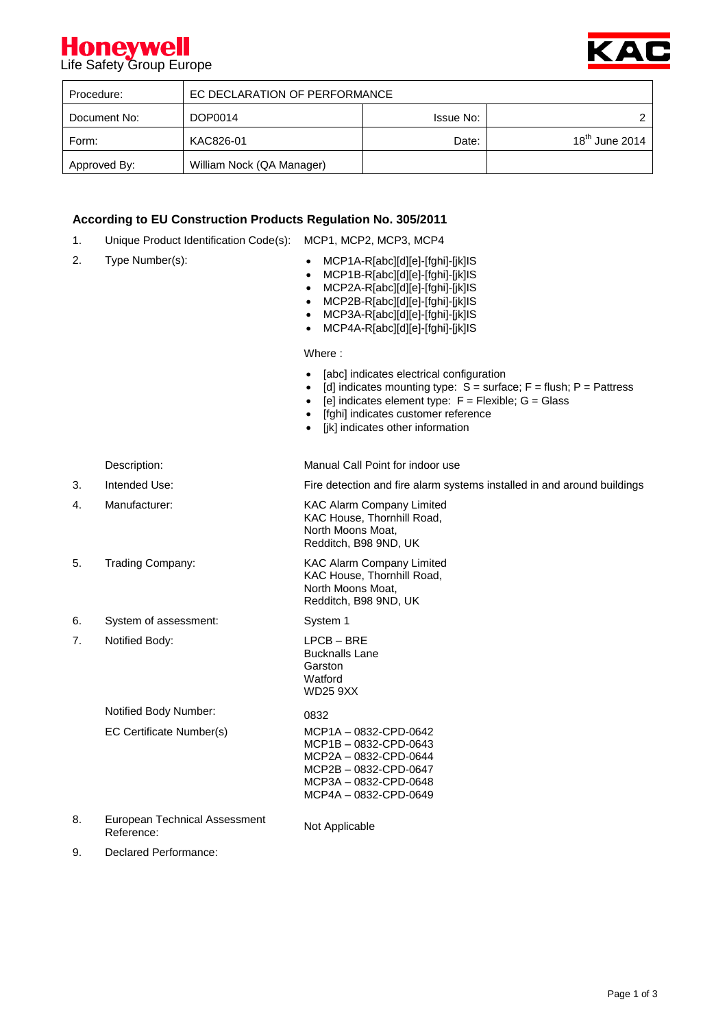## **Honeywell**<br>Life Safety Group Europe



| Procedure:   | EC DECLARATION OF PERFORMANCE |                  |                  |
|--------------|-------------------------------|------------------|------------------|
| Document No: | DOP0014                       | <b>Issue No:</b> |                  |
| Form:        | KAC826-01                     | Date:            | $18th$ June 2014 |
| Approved By: | William Nock (QA Manager)     |                  |                  |

### **According to EU Construction Products Regulation No. 305/2011**

- 1. Unique Product Identification Code(s): MCP1, MCP2, MCP3, MCP4
- 
- 2. Type Number(s):  $\bullet$  MCP1A-R[abc][d][e]-[fghi]-[jk]IS
	- MCP1B-R[abc][d][e]-[fghi]-[jk]IS
	- MCP2A-R[abc][d][e]-[fghi]-[jk]IS
	- MCP2B-R[abc][d][e]-[fghi]-[jk]IS
	- MCP3A-R[abc][d][e]-[fghi]-[jk]IS
	- MCP4A-R[abc][d][e]-[fghi]-[jk]IS

Where :

- [abc] indicates electrical configuration
- [d] indicates mounting type:  $S =$  surface;  $F =$  flush;  $P =$  Pattress
- [e] indicates element type:  $F = F$ lexible;  $G = G$ lass
	- [fghi] indicates customer reference
- [jk] indicates other information

Description: Manual Call Point for indoor use

3. Intended Use: Fire detection and fire alarm systems installed in and around buildings

- 4. Manufacturer: KAC Alarm Company Limited KAC House, Thornhill Road, North Moons Moat, Redditch, B98 9ND, UK 5. Trading Company: KAC Alarm Company Limited KAC House, Thornhill Road, North Moons Moat, Redditch, B98 9ND, UK 6. System of assessment: System 1 7. Notified Body: LPCB – BRE Bucknalls Lane **Garston** Watford WD25 9XX Notified Body Number: 0832 EC Certificate Number(s) MCP1A – 0832-CPD-0642 MCP1B – 0832-CPD-0643 MCP2A – 0832-CPD-0644 MCP2B – 0832-CPD-0647 MCP3A – 0832-CPD-0648 MCP4A – 0832-CPD-0649 8. European Technical Assessment European Technical Assessment<br>Reference: Not Applicable
- 9. Declared Performance: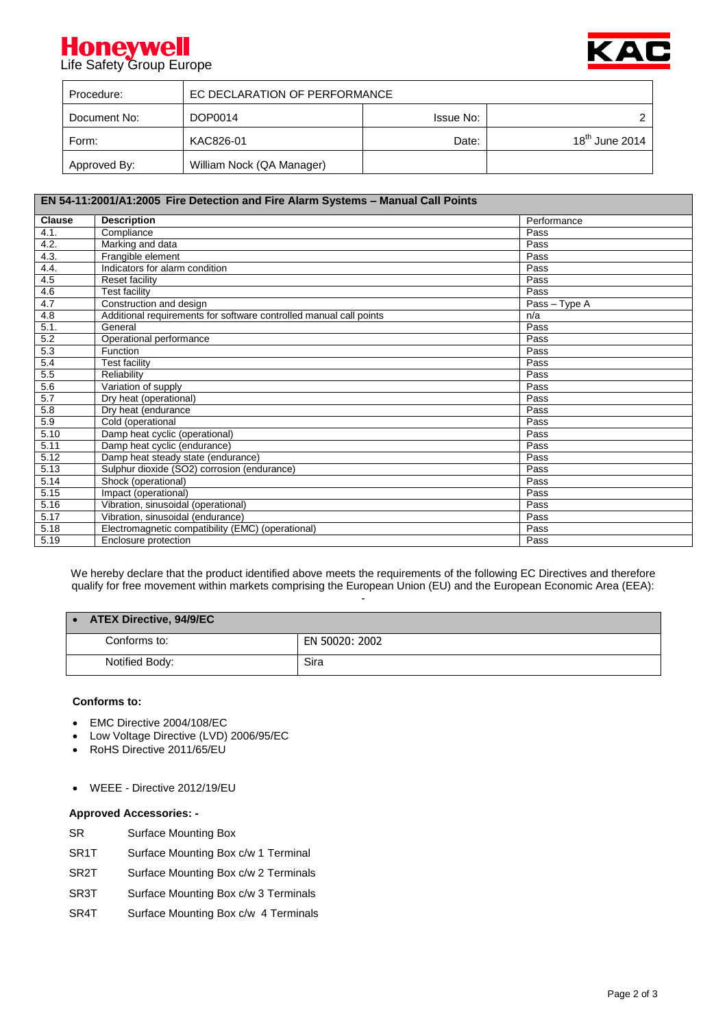## **Honeywell**<br>Life Safety Group Europe



| Procedure:   | EC DECLARATION OF PERFORMANCE |                  |                  |
|--------------|-------------------------------|------------------|------------------|
| Document No: | DOP0014                       | <b>Issue No:</b> | ົ                |
| Form:        | KAC826-01                     | Date:            | $18th$ June 2014 |
| Approved By: | William Nock (QA Manager)     |                  |                  |

| EN 54-11:2001/A1:2005 Fire Detection and Fire Alarm Systems - Manual Call Points |                                                                    |               |  |  |
|----------------------------------------------------------------------------------|--------------------------------------------------------------------|---------------|--|--|
| <b>Clause</b>                                                                    | <b>Description</b>                                                 | Performance   |  |  |
| 4.1.                                                                             | Compliance                                                         | Pass          |  |  |
| 4.2.                                                                             | Marking and data                                                   | Pass          |  |  |
| 4.3.                                                                             | Frangible element                                                  | Pass          |  |  |
| 4.4.                                                                             | Indicators for alarm condition                                     | Pass          |  |  |
| 4.5                                                                              | Reset facility                                                     | Pass          |  |  |
| 4.6                                                                              | <b>Test facility</b>                                               | Pass          |  |  |
| 4.7                                                                              | Construction and design                                            | Pass - Type A |  |  |
| 4.8                                                                              | Additional requirements for software controlled manual call points | n/a           |  |  |
| 5.1.                                                                             | General                                                            | Pass          |  |  |
| 5.2                                                                              | Operational performance                                            | Pass          |  |  |
| 5.3                                                                              | Function                                                           | Pass          |  |  |
| 5.4                                                                              | <b>Test facility</b>                                               | Pass          |  |  |
| 5.5                                                                              | Reliability                                                        | Pass          |  |  |
| 5.6                                                                              | Variation of supply                                                | Pass          |  |  |
| 5.7                                                                              | Dry heat (operational)                                             | Pass          |  |  |
| 5.8                                                                              | Dry heat (endurance                                                | Pass          |  |  |
| 5.9                                                                              | Cold (operational                                                  | Pass          |  |  |
| 5.10                                                                             | Damp heat cyclic (operational)                                     | Pass          |  |  |
| 5.11                                                                             | Damp heat cyclic (endurance)                                       | Pass          |  |  |
| 5.12                                                                             | Damp heat steady state (endurance)                                 | Pass          |  |  |
| 5.13                                                                             | Sulphur dioxide (SO2) corrosion (endurance)                        | Pass          |  |  |
| 5.14                                                                             | Shock (operational)                                                | Pass          |  |  |
| 5.15                                                                             | Impact (operational)                                               | Pass          |  |  |
| 5.16                                                                             | Vibration, sinusoidal (operational)                                | Pass          |  |  |
| 5.17                                                                             | Vibration, sinusoidal (endurance)                                  | Pass          |  |  |
| 5.18                                                                             | Electromagnetic compatibility (EMC) (operational)                  | Pass          |  |  |
| 5.19                                                                             | Enclosure protection                                               | Pass          |  |  |

We hereby declare that the product identified above meets the requirements of the following EC Directives and therefore qualify for free movement within markets comprising the European Union (EU) and the European Economic Area (EEA): -

| <b>ATEX Directive, 94/9/EC</b> |                |
|--------------------------------|----------------|
| Conforms to:                   | EN 50020: 2002 |
| Notified Body:                 | Sira           |

#### **Conforms to:**

- EMC Directive 2004/108/EC
- Low Voltage Directive (LVD) 2006/95/EC
- RoHS Directive 2011/65/EU
- WEEE Directive 2012/19/EU

### **Approved Accessories: -**

- SR Surface Mounting Box
- SR1T Surface Mounting Box c/w 1 Terminal
- SR2T Surface Mounting Box c/w 2 Terminals
- SR3T Surface Mounting Box c/w 3 Terminals
- SR4T Surface Mounting Box c/w 4 Terminals